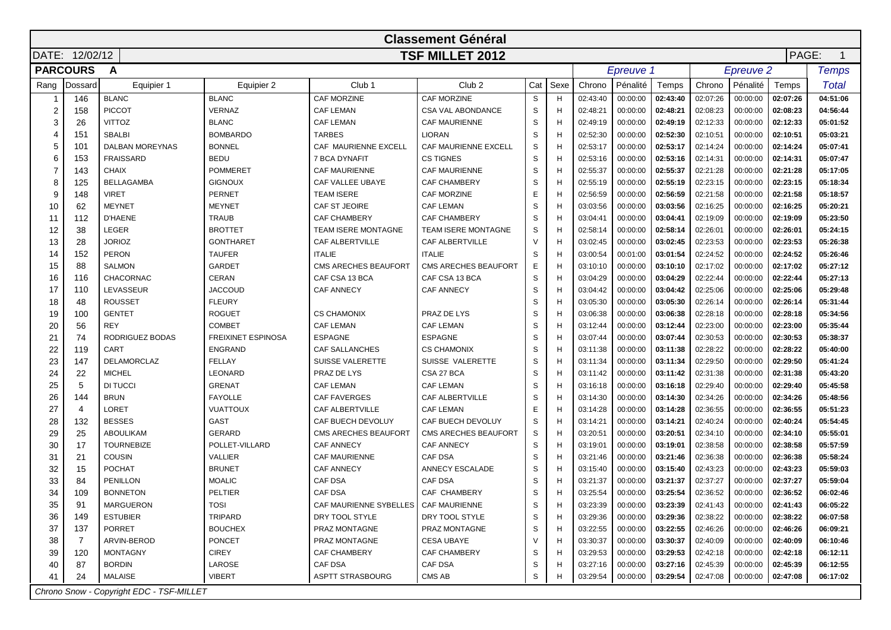|                | <b>Classement Général</b> |                                          |                           |                                      |                             |        |      |          |           |          |          |                  |          |              |
|----------------|---------------------------|------------------------------------------|---------------------------|--------------------------------------|-----------------------------|--------|------|----------|-----------|----------|----------|------------------|----------|--------------|
|                | DATE: 12/02/12            |                                          |                           |                                      | <b>TSF MILLET 2012</b>      |        |      |          |           |          |          |                  | PAGE:    |              |
|                | <b>PARCOURS</b>           | A                                        |                           |                                      |                             |        |      |          | Epreuve 1 |          |          | <b>Epreuve 2</b> |          | <b>Temps</b> |
| Rang           | Dossard                   | Equipier 1                               | Equipier 2                | Club <sub>1</sub>                    | Club <sub>2</sub>           | Cat    | Sexe | Chrono   | Pénalité  | Temps    | Chrono   | Pénalité         | Temps    | Total        |
|                | 146                       | <b>BLANC</b>                             | <b>BLANC</b>              | CAF MORZINE                          | CAF MORZINE                 | S      | H    | 02:43:40 | 00:00:00  | 02:43:40 | 02:07:26 | 00:00:00         | 02:07:26 | 04:51:06     |
| 2              | 158                       | <b>PICCOT</b>                            | <b>VERNAZ</b>             | <b>CAF LEMAN</b>                     | <b>CSA VAL ABONDANCE</b>    | S      | H    | 02:48:21 | 00:00:00  | 02:48:21 | 02:08:23 | 00:00:00         | 02:08:23 | 04:56:44     |
| 3              | 26                        | <b>VITTOZ</b>                            | <b>BLANC</b>              | <b>CAF LEMAN</b>                     | <b>CAF MAURIENNE</b>        | S      | H    | 02:49:19 | 00:00:00  | 02:49:19 | 02:12:33 | 00:00:00         | 02:12:33 | 05:01:52     |
| 4              | 151                       | <b>SBALBI</b>                            | <b>BOMBARDO</b>           | <b>TARBES</b>                        | <b>LIORAN</b>               | S      | H    | 02:52:30 | 00:00:00  | 02:52:30 | 02:10:51 | 00:00:00         | 02:10:51 | 05:03:21     |
| 5              | 101                       | <b>DALBAN MOREYNAS</b>                   | <b>BONNEL</b>             | CAF MAURIENNE EXCELL                 | CAF MAURIENNE EXCELL        | S      | H    | 02:53:17 | 00:00:00  | 02:53:17 | 02:14:24 | 00:00:00         | 02:14:24 | 05:07:41     |
| 6              | 153                       | <b>FRAISSARD</b>                         | <b>BEDU</b>               | 7 BCA DYNAFIT                        | <b>CS TIGNES</b>            | S      |      | 02:53:16 | 00:00:00  | 02:53:16 | 02:14:31 | 00:00:00         | 02:14:31 | 05:07:47     |
| $\overline{7}$ | 143                       | <b>CHAIX</b>                             | <b>POMMERET</b>           | CAF MAURIENNE                        | <b>CAF MAURIENNE</b>        | S      | Н    | 02:55:37 | 00:00:00  | 02:55:37 | 02:21:28 | 00:00:00         | 02:21:28 | 05:17:05     |
| 8              | 125                       | <b>BELLAGAMBA</b>                        | <b>GIGNOUX</b>            | CAF VALLEE UBAYE                     | <b>CAF CHAMBERY</b>         | S      | H    | 02:55:19 | 00:00:00  | 02:55:19 | 02:23:15 | 00:00:00         | 02:23:15 | 05:18:34     |
| 9              | 148                       | <b>VIRET</b>                             | <b>PERNET</b>             | TEAM ISERE                           | <b>CAF MORZINE</b>          | E      | H    | 02:56:59 | 00:00:00  | 02:56:59 | 02:21:58 | 00:00:00         | 02:21:58 | 05:18:57     |
| 10             | 62                        | <b>MEYNET</b>                            | <b>MEYNET</b>             | CAF ST JEOIRE                        | <b>CAF LEMAN</b>            | S      | H    | 03:03:56 | 00:00:00  | 03:03:56 | 02:16:25 | 00:00:00         | 02:16:25 | 05:20:21     |
| 11             | 112                       | <b>D'HAENE</b>                           | <b>TRAUB</b>              | <b>CAF CHAMBERY</b>                  | <b>CAF CHAMBERY</b>         | S      | H    | 03:04:41 | 00:00:00  | 03:04:41 | 02:19:09 | 00:00:00         | 02:19:09 | 05:23:50     |
| 12             | 38                        | <b>LEGER</b>                             | <b>BROTTET</b>            | TEAM ISERE MONTAGNE                  | <b>TEAM ISERE MONTAGNE</b>  | S      | H    | 02:58:14 | 00:00:00  | 02:58:14 | 02:26:01 | 00:00:00         | 02:26:01 | 05:24:15     |
| 13             | 28                        | <b>JORIOZ</b>                            | <b>GONTHARET</b>          | CAF ALBERTVILLE                      | CAF ALBERTVILLE             | $\vee$ | H    | 03:02:45 | 00:00:00  | 03:02:45 | 02:23:53 | 00:00:00         | 02:23:53 | 05:26:38     |
| 14             | 152                       | <b>PERON</b>                             | <b>TAUFER</b>             | <b>ITALIE</b>                        | <b>ITALIE</b>               | S      |      | 03:00:54 | 00:01:00  | 03:01:54 | 02:24:52 | 00:00:00         | 02:24:52 | 05:26:46     |
| 15             | 88                        | <b>SALMON</b>                            | <b>GARDET</b>             | CMS ARECHES BEAUFORT                 | <b>CMS ARECHES BEAUFORT</b> | Ε      |      | 03:10:10 | 00:00:00  | 03:10:10 | 02:17:02 | 00:00:00         | 02:17:02 | 05:27:12     |
| 16             | 116                       | <b>CHACORNAC</b>                         | <b>CERAN</b>              | CAF CSA 13 BCA                       | CAF CSA 13 BCA              | S      | H    | 03:04:29 | 00:00:00  | 03:04:29 | 02:22:44 | 00:00:00         | 02:22:44 | 05:27:13     |
| 17             | 110                       | LEVASSEUR                                | <b>JACCOUD</b>            | <b>CAF ANNECY</b>                    | <b>CAF ANNECY</b>           | S      | H    | 03:04:42 | 00:00:00  | 03:04:42 | 02:25:06 | 00:00:00         | 02:25:06 | 05:29:48     |
| 18             | 48                        | <b>ROUSSET</b>                           | <b>FLEURY</b>             |                                      |                             | S      | H    | 03:05:30 | 00:00:00  | 03:05:30 | 02:26:14 | 00:00:00         | 02:26:14 | 05:31:44     |
| 19             | 100                       | <b>GENTET</b>                            | <b>ROGUET</b>             | <b>CS CHAMONIX</b>                   | PRAZ DE LYS                 | S      | Н    | 03:06:38 | 00:00:00  | 03:06:38 | 02:28:18 | 00:00:00         | 02:28:18 | 05:34:56     |
| 20             | 56                        | <b>REY</b>                               | <b>COMBET</b>             | <b>CAF LEMAN</b>                     | <b>CAF LEMAN</b>            | S      | H    | 03:12:44 | 00:00:00  | 03:12:44 | 02:23:00 | 00:00:00         | 02:23:00 | 05:35:44     |
| 21             | 74                        | RODRIGUEZ BODAS                          | <b>FREIXINET ESPINOSA</b> | <b>ESPAGNE</b>                       | <b>ESPAGNE</b>              | S      | H    | 03:07:44 | 00:00:00  | 03:07:44 | 02:30:53 | 00:00:00         | 02:30:53 | 05:38:37     |
| 22             | 119                       | CART                                     | <b>ENGRAND</b>            | <b>CAF SALLANCHES</b>                | <b>CS CHAMONIX</b>          | S      | H    | 03:11:38 | 00:00:00  | 03:11:38 | 02:28:22 | 00:00:00         | 02:28:22 | 05:40:00     |
| 23             | 147                       | <b>DELAMORCLAZ</b>                       | <b>FELLAY</b>             | <b>SUISSE VALERETTE</b>              | SUISSE VALERETTE            | S      |      | 03:11:34 | 00:00:00  | 03:11:34 | 02:29:50 | 00:00:00         | 02:29:50 | 05:41:24     |
| 24             | 22                        | <b>MICHEL</b>                            | LEONARD                   | PRAZ DE LYS                          | CSA 27 BCA                  | S      | H    | 03:11:42 | 00:00:00  | 03:11:42 | 02:31:38 | 00:00:00         | 02:31:38 | 05:43:20     |
| 25             | 5                         | DI TUCCI                                 | <b>GRENAT</b>             | <b>CAF LEMAN</b>                     | <b>CAF LEMAN</b>            | S      | H    | 03:16:18 | 00:00:00  | 03:16:18 | 02:29:40 | 00:00:00         | 02:29:40 | 05:45:58     |
| 26             | 144                       | <b>BRUN</b>                              | <b>FAYOLLE</b>            | <b>CAF FAVERGES</b>                  | CAF ALBERTVILLE             | S      | H    | 03:14:30 | 00:00:00  | 03:14:30 | 02:34:26 | 00:00:00         | 02:34:26 | 05:48:56     |
| 27             | 4                         | <b>LORET</b>                             | <b>VUATTOUX</b>           | <b>CAF ALBERTVILLE</b>               | <b>CAF LEMAN</b>            | Ε      | H    | 03:14:28 | 00:00:00  | 03:14:28 | 02:36:55 | 00:00:00         | 02:36:55 | 05:51:23     |
| 28             | 132                       | <b>BESSES</b>                            | GAST                      | CAF BUECH DEVOLUY                    | CAF BUECH DEVOLUY           | S      | H    | 03:14:21 | 00:00:00  | 03:14:21 | 02:40:24 | 00:00:00         | 02:40:24 | 05:54:45     |
| 29             | 25                        | <b>ABOULIKAM</b>                         | <b>GERARD</b>             | <b>CMS ARECHES BEAUFORT</b>          | CMS ARECHES BEAUFORT        | S      | H    | 03:20:51 | 00:00:00  | 03:20:51 | 02:34:10 | 00:00:00         | 02:34:10 | 05:55:01     |
| 30             | 17                        | <b>TOURNEBIZE</b>                        | POLLET-VILLARD            | <b>CAF ANNECY</b>                    | <b>CAF ANNECY</b>           | S      | H    | 03:19:01 | 00:00:00  | 03:19:01 | 02:38:58 | 00:00:00         | 02:38:58 | 05:57:59     |
| 31             | 21                        | <b>COUSIN</b>                            | <b>VALLIER</b>            | <b>CAF MAURIENNE</b>                 | <b>CAF DSA</b>              | S      | H    | 03:21:46 | 00:00:00  | 03:21:46 | 02:36:38 | 00:00:00         | 02:36:38 | 05:58:24     |
| 32             | 15                        | <b>POCHAT</b>                            | <b>BRUNET</b>             | <b>CAF ANNECY</b>                    | <b>ANNECY ESCALADE</b>      | S      | H    | 03:15:40 | 00:00:00  | 03:15:40 | 02:43:23 | 00:00:00         | 02:43:23 | 05:59:03     |
| 33             | 84                        | PENILLON                                 | <b>MOALIC</b>             | <b>CAF DSA</b>                       | <b>CAF DSA</b>              | S      | H    | 03:21:37 | 00:00:00  | 03:21:37 | 02:37:27 | 00:00:00         | 02:37:27 | 05:59:04     |
| 34             | 109                       | <b>BONNETON</b>                          | PELTIER                   | <b>CAF DSA</b>                       | CAF CHAMBERY                | S      | Н    | 03:25:54 | 00:00:00  | 03:25:54 | 02:36:52 | 00:00:00         | 02:36:52 | 06:02:46     |
| 35             | 91                        | MARGUERON                                | <b>TOSI</b>               | CAF MAURIENNE SYBELLES CAF MAURIENNE |                             | S      |      | 03:23:39 | 00:00:00  | 03:23:39 | 02:41:43 | 00:00:00         | 02:41:43 | 06:05:22     |
| 36             | 149                       | <b>ESTUBIER</b>                          | TRIPARD                   | DRY TOOL STYLE                       | DRY TOOL STYLE              | S      | н    | 03:29:36 | 00:00:00  | 03:29:36 | 02:38:22 | 00:00:00         | 02:38:22 | 06:07:58     |
| 37             | 137                       | PORRET                                   | <b>BOUCHEX</b>            | PRAZ MONTAGNE                        | PRAZ MONTAGNE               | S      | н    | 03:22:55 | 00:00:00  | 03:22:55 | 02:46:26 | 00:00:00         | 02:46:26 | 06:09:21     |
| 38             | 7                         | ARVIN-BEROD                              | <b>PONCET</b>             | PRAZ MONTAGNE                        | <b>CESA UBAYE</b>           | $\vee$ | н    | 03:30:37 | 00:00:00  | 03:30:37 | 02:40:09 | 00:00:00         | 02:40:09 | 06:10:46     |
| 39             | 120                       | <b>MONTAGNY</b>                          | <b>CIREY</b>              | CAF CHAMBERY                         | CAF CHAMBERY                | S      | H    | 03:29:53 | 00:00:00  | 03:29:53 | 02:42:18 | 00:00:00         | 02:42:18 | 06:12:11     |
| 40             | 87                        | <b>BORDIN</b>                            | LAROSE                    | CAF DSA                              | CAF DSA                     | S      |      | 03:27:16 | 00:00:00  | 03:27:16 | 02:45:39 | 00:00:00         | 02:45:39 | 06:12:55     |
| 41             | 24                        | MALAISE                                  | <b>VIBERT</b>             | ASPTT STRASBOURG                     | CMS AB                      | S      |      | 03:29:54 | 00:00:00  | 03:29:54 | 02:47:08 | 00:00:00         | 02:47:08 | 06:17:02     |
|                |                           | Chrono Snow - Copyright EDC - TSF-MILLET |                           |                                      |                             |        |      |          |           |          |          |                  |          |              |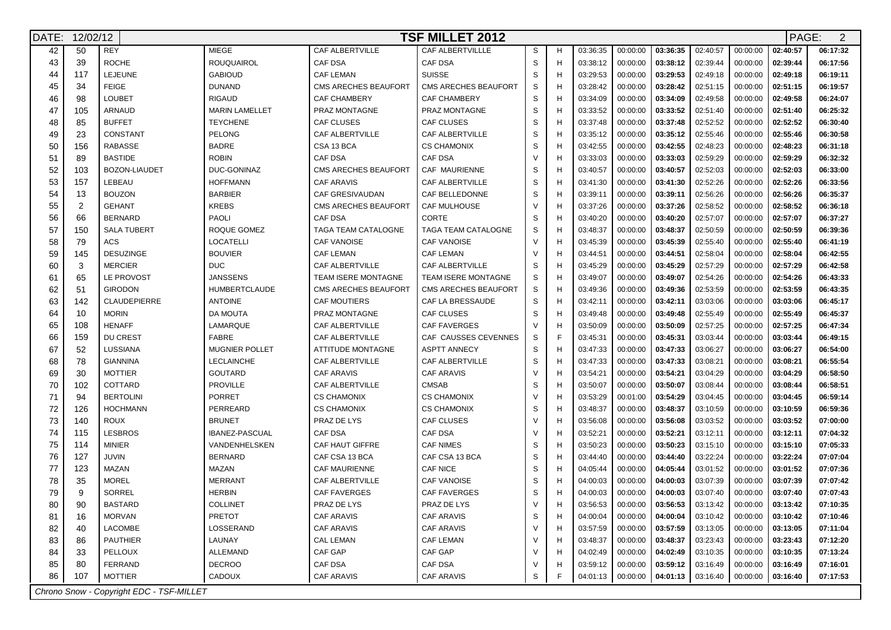| DATE: |                | <b>TSF MILLET 2012</b><br>12/02/12       |                       |                             |                        |              |   |          |          |          |                     |          |          | PAGE:<br>2 |
|-------|----------------|------------------------------------------|-----------------------|-----------------------------|------------------------|--------------|---|----------|----------|----------|---------------------|----------|----------|------------|
| 42    | 50             | <b>REY</b>                               | <b>MIEGE</b>          | CAF ALBERTVILLE             | CAF ALBERTVILLLE       | S            |   | 03:36:35 | 00:00:00 | 03:36:35 | 02:40:57            | 00:00:00 | 02:40:57 | 06:17:32   |
| 43    | 39             | <b>ROCHE</b>                             | <b>ROUQUAIROL</b>     | <b>CAF DSA</b>              | <b>CAF DSA</b>         | S            |   | 03:38:12 | 00:00:00 | 03:38:12 | 02:39:44            | 00:00:00 | 02:39:44 | 06:17:56   |
| 44    | 117            | LEJEUNE                                  | <b>GABIOUD</b>        | <b>CAF LEMAN</b>            | <b>SUISSE</b>          | S            |   | 03:29:53 | 00:00:00 | 03:29:53 | 02:49:18            | 00:00:00 | 02:49:18 | 06:19:11   |
| 45    | 34             | <b>FEIGE</b>                             | <b>DUNAND</b>         | CMS ARECHES BEAUFORT        | CMS ARECHES BEAUFORT   | S            |   | 03:28:42 | 00:00:00 | 03:28:42 | 02:51:15            | 00:00:00 | 02:51:15 | 06:19:57   |
| 46    | 98             | <b>LOUBET</b>                            | <b>RIGAUD</b>         | CAF CHAMBERY                | CAF CHAMBERY           | S            |   | 03:34:09 | 00:00:00 | 03:34:09 | 02:49:58            | 00:00:00 | 02:49:58 | 06:24:07   |
| 47    | 105            | ARNAUD                                   | <b>MARIN LAMELLET</b> | PRAZ MONTAGNE               | PRAZ MONTAGNE          | S            |   | 03:33:52 | 00:00:00 | 03:33:52 | 02:51:40            | 00:00:00 | 02:51:40 | 06:25:32   |
| 48    | 85             | <b>BUFFET</b>                            | <b>TEYCHENE</b>       | <b>CAF CLUSES</b>           | <b>CAF CLUSES</b>      | $\mathbb S$  |   | 03:37:48 | 00:00:00 | 03:37:48 | 02:52:52            | 00:00:00 | 02:52:52 | 06:30:40   |
| 49    | 23             | CONSTANT                                 | <b>PELONG</b>         | CAF ALBERTVILLE             | <b>CAF ALBERTVILLE</b> | $\mathbb S$  |   | 03:35:12 | 00:00:00 | 03:35:12 | 02:55:46            | 00:00:00 | 02:55:46 | 06:30:58   |
| 50    | 156            | <b>RABASSE</b>                           | <b>BADRE</b>          | CSA 13 BCA                  | <b>CS CHAMONIX</b>     | $\mathsf{s}$ |   | 03:42:55 | 00:00:00 | 03:42:55 | 02:48:23            | 00:00:00 | 02:48:23 | 06:31:18   |
| 51    | 89             | <b>BASTIDE</b>                           | <b>ROBIN</b>          | CAF DSA                     | <b>CAF DSA</b>         | $\vee$       |   | 03:33:03 | 00:00:00 | 03:33:03 | 02:59:29            | 00:00:00 | 02:59:29 | 06:32:32   |
| 52    | 103            | <b>BOZON-LIAUDET</b>                     | DUC-GONINAZ           | <b>CMS ARECHES BEAUFORT</b> | CAF MAURIENNE          | S            | н | 03:40:57 | 00:00:00 | 03:40:57 | 02:52:03            | 00:00:00 | 02:52:03 | 06:33:00   |
| 53    | 157            | LEBEAU                                   | <b>HOFFMANN</b>       | <b>CAF ARAVIS</b>           | <b>CAF ALBERTVILLE</b> | S            | H | 03:41:30 | 00:00:00 | 03:41:30 | 02:52:26            | 00:00:00 | 02:52:26 | 06:33:56   |
| 54    | 13             | <b>BOUZON</b>                            | <b>BARBIER</b>        | CAF GRESIVAUDAN             | CAF BELLEDONNE         | S            | н | 03:39:11 | 00:00:00 | 03:39:11 | 02:56:26            | 00:00:00 | 02:56:26 | 06:35:37   |
| 55    | $\overline{2}$ | <b>GEHANT</b>                            | <b>KREBS</b>          | CMS ARECHES BEAUFORT        | <b>CAF MULHOUSE</b>    | $\vee$       |   | 03:37:26 | 00:00:00 | 03:37:26 | 02:58:52            | 00:00:00 | 02:58:52 | 06:36:18   |
| 56    | 66             | <b>BERNARD</b>                           | PAOLI                 | CAF DSA                     | CORTE                  | S            | н | 03:40:20 | 00:00:00 | 03:40:20 | 02:57:07            | 00:00:00 | 02:57:07 | 06:37:27   |
| 57    | 150            | <b>SALA TUBERT</b>                       | ROQUE GOMEZ           | <b>TAGA TEAM CATALOGNE</b>  | TAGA TEAM CATALOGNE    | S            | Н | 03:48:37 | 00:00:00 | 03:48:37 | 02:50:59            | 00:00:00 | 02:50:59 | 06:39:36   |
| 58    | 79             | ACS                                      | <b>LOCATELLI</b>      | <b>CAF VANOISE</b>          | <b>CAF VANOISE</b>     | $\vee$       |   | 03:45:39 | 00:00:00 | 03:45:39 | 02:55:40            | 00:00:00 | 02:55:40 | 06:41:19   |
| 59    | 145            | <b>DESUZINGE</b>                         | <b>BOUVIER</b>        | <b>CAF LEMAN</b>            | <b>CAF LEMAN</b>       | $\vee$       |   | 03:44:51 | 00:00:00 | 03:44:51 | 02:58:04            | 00:00:00 | 02:58:04 | 06:42:55   |
| 60    | 3              | <b>MERCIER</b>                           | <b>DUC</b>            | CAF ALBERTVILLE             | CAF ALBERTVILLE        | S            |   | 03:45:29 | 00:00:00 | 03:45:29 | 02:57:29            | 00:00:00 | 02:57:29 | 06:42:58   |
| 61    | 65             | LE PROVOST                               | <b>JANSSENS</b>       | <b>TEAM ISERE MONTAGNE</b>  | TEAM ISERE MONTAGNE    | S            |   | 03:49:07 | 00:00:00 | 03:49:07 | 02:54:26            | 00:00:00 | 02:54:26 | 06:43:33   |
| 62    | 51             | <b>GIRODON</b>                           | HUMBERTCLAUDE         | <b>CMS ARECHES BEAUFORT</b> | CMS ARECHES BEAUFORT   | S            | н | 03:49:36 | 00:00:00 | 03:49:36 | 02:53:59            | 00:00:00 | 02:53:59 | 06:43:35   |
| 63    | 142            | <b>CLAUDEPIERRE</b>                      | <b>ANTOINE</b>        | <b>CAF MOUTIERS</b>         | CAF LA BRESSAUDE       | S            |   | 03:42:11 | 00:00:00 | 03:42:11 | 03:03:06            | 00:00:00 | 03:03:06 | 06:45:17   |
| 64    | 10             | <b>MORIN</b>                             | DA MOUTA              | PRAZ MONTAGNE               | <b>CAF CLUSES</b>      | S            |   | 03:49:48 | 00:00:00 | 03:49:48 | 02:55:49            | 00:00:00 | 02:55:49 | 06:45:37   |
| 65    | 108            | <b>HENAFF</b>                            | LAMARQUE              | <b>CAF ALBERTVILLE</b>      | <b>CAF FAVERGES</b>    | $\vee$       |   | 03:50:09 | 00:00:00 | 03:50:09 | 02:57:25            | 00:00:00 | 02:57:25 | 06:47:34   |
| 66    | 159            | <b>DU CREST</b>                          | <b>FABRE</b>          | CAF ALBERTVILLE             | CAF CAUSSES CEVENNES   | S            |   | 03:45:31 | 00:00:00 | 03:45:31 | 03:03:44            | 00:00:00 | 03:03:44 | 06:49:15   |
| 67    | 52             | LUSSIANA                                 | <b>MUGNIER POLLET</b> | <b>ATTITUDE MONTAGNE</b>    | <b>ASPTT ANNECY</b>    | $\mathbb S$  |   | 03:47:33 | 00:00:00 | 03:47:33 | 03:06:27            | 00:00:00 | 03:06:27 | 06:54:00   |
| 68    | 78             | <b>GIANNINA</b>                          | LECLAINCHE            | CAF ALBERTVILLE             | CAF ALBERTVILLE        | S            |   | 03:47:33 | 00:00:00 | 03:47:33 | 03:08:21            | 00:00:00 | 03:08:21 | 06:55:54   |
| 69    | 30             | <b>MOTTIER</b>                           | <b>GOUTARD</b>        | <b>CAF ARAVIS</b>           | <b>CAF ARAVIS</b>      | $\vee$       | н | 03:54:21 | 00:00:00 | 03:54:21 | 03:04:29            | 00:00:00 | 03:04:29 | 06:58:50   |
| 70    | 102            | COTTARD                                  | <b>PROVILLE</b>       | CAF ALBERTVILLE             | <b>CMSAB</b>           | S            |   | 03:50:07 | 00:00:00 | 03:50:07 | 03:08:44            | 00:00:00 | 03:08:44 | 06:58:51   |
| 71    | 94             | <b>BERTOLINI</b>                         | <b>PORRET</b>         | <b>CS CHAMONIX</b>          | <b>CS CHAMONIX</b>     | $\vee$       |   | 03:53:29 | 00:01:00 | 03:54:29 | 03:04:45            | 00:00:00 | 03:04:45 | 06:59:14   |
| 72    | 126            | <b>HOCHMANN</b>                          | PERREARD              | <b>CS CHAMONIX</b>          | <b>CS CHAMONIX</b>     | S            |   | 03:48:37 | 00:00:00 | 03:48:37 | 03:10:59            | 00:00:00 | 03:10:59 | 06:59:36   |
| 73    | 140            | <b>ROUX</b>                              | <b>BRUNET</b>         | PRAZ DE LYS                 | <b>CAF CLUSES</b>      | $\vee$       | н | 03:56:08 | 00:00:00 | 03:56:08 | 03:03:52            | 00:00:00 | 03:03:52 | 07:00:00   |
| 74    | 115            | <b>LESBROS</b>                           | IBANEZ-PASCUAL        | <b>CAF DSA</b>              | <b>CAF DSA</b>         | $\vee$       | H | 03:52:21 | 00:00:00 | 03:52:21 | 03:12:11            | 00:00:00 | 03:12:11 | 07:04:32   |
| 75    | 114            | <b>MINIER</b>                            | VANDENHELSKEN         | CAF HAUT GIFFRE             | <b>CAF NIMES</b>       | S            |   | 03:50:23 | 00:00:00 | 03:50:23 | 03:15:10            | 00:00:00 | 03:15:10 | 07:05:33   |
| 76    | 127            | <b>JUVIN</b>                             | <b>BERNARD</b>        | CAF CSA 13 BCA              | CAF CSA 13 BCA         | S            |   | 03:44:40 | 00:00:00 | 03:44:40 | 03:22:24            | 00:00:00 | 03:22:24 | 07:07:04   |
| 77    | 123            | MAZAN                                    | MAZAN                 | <b>CAF MAURIENNE</b>        | <b>CAF NICE</b>        | S            | н | 04:05:44 | 00:00:00 | 04:05:44 | 03:01:52            | 00:00:00 | 03:01:52 | 07:07:36   |
| 78    | 35             | <b>MOREL</b>                             | <b>MERRANT</b>        | CAF ALBERTVILLE             | <b>CAF VANOISE</b>     | S            |   | 04:00:03 | 00:00:00 | 04:00:03 | 03:07:39            | 00:00:00 | 03:07:39 | 07:07:42   |
| 79    | 9              | SORREL                                   | <b>HERBIN</b>         | <b>CAF FAVERGES</b>         | <b>CAF FAVERGES</b>    | S            |   | 04:00:03 | 00:00:00 | 04:00:03 | 03:07:40            | 00:00:00 | 03:07:40 | 07:07:43   |
| 80    | 90             | <b>BASTARD</b>                           | COLLINET              | PRAZ DE LYS                 | PRAZ DE LYS            | $\vee$       |   | 03:56:53 | 00:00:00 | 03:56:53 | 03:13:42            | 00:00:00 | 03:13:42 | 07:10:35   |
| 81    | 16             | MORVAN                                   | PRETOT                | <b>CAF ARAVIS</b>           | <b>CAF ARAVIS</b>      | S            | н | 04:00:04 | 00:00:00 | 04:00:04 | 03:10:42            | 00:00:00 | 03:10:42 | 07:10:46   |
| 82    | 40             | LACOMBE                                  | LOSSERAND             | CAF ARAVIS                  | <b>CAF ARAVIS</b>      | $\vee$       | н | 03:57:59 | 00:00:00 | 03:57:59 | 03:13:05            | 00:00:00 | 03:13:05 | 07:11:04   |
| 83    | 86             | PAUTHIER                                 | LAUNAY                | <b>CAL LEMAN</b>            | <b>CAF LEMAN</b>       | $\vee$       | н | 03:48:37 | 00:00:00 | 03:48:37 | 03:23:43            | 00:00:00 | 03:23:43 | 07:12:20   |
| 84    | 33             | PELLOUX                                  | <b>ALLEMAND</b>       | CAF GAP                     | CAF GAP                | $\vee$       | н | 04:02:49 | 00:00:00 | 04:02:49 | 03:10:35            | 00:00:00 | 03:10:35 | 07:13:24   |
| 85    | 80             | FERRAND                                  | <b>DECROO</b>         | CAF DSA                     | CAF DSA                | V            | н | 03:59:12 | 00:00:00 | 03:59:12 | 03:16:49            | 00:00:00 | 03:16:49 | 07:16:01   |
| 86    | 107            | MOTTIER                                  | <b>CADOUX</b>         | CAF ARAVIS                  | <b>CAF ARAVIS</b>      | S            |   | 04:01:13 | 00:00:00 |          | $04:01:13$ 03:16:40 | 00:00:00 | 03:16:40 | 07:17:53   |
|       |                | Chrono Snow - Copyright EDC - TSF-MILLET |                       |                             |                        |              |   |          |          |          |                     |          |          |            |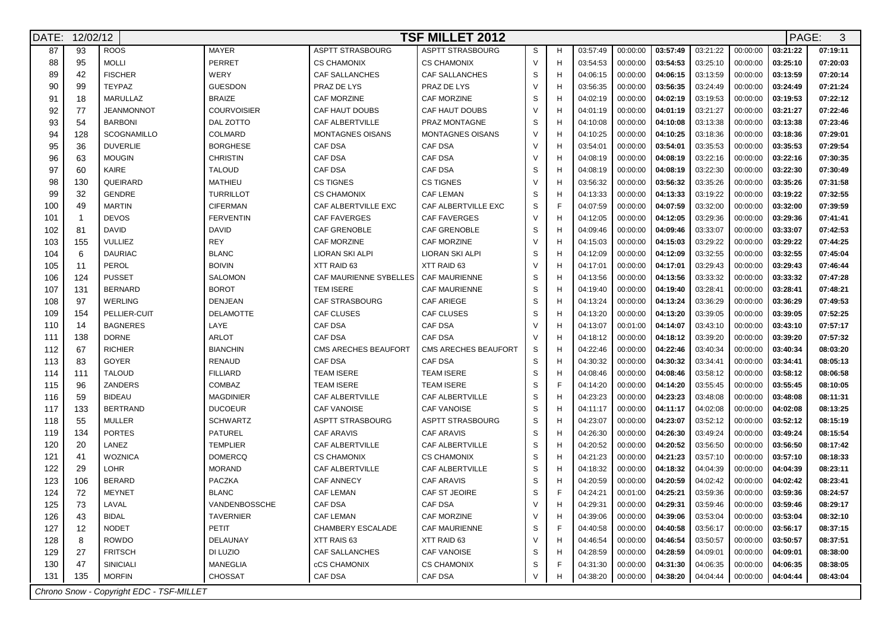| DATE: | <b>TSF MILLET 2012</b><br>12/02/12<br>PAGE: |                                          |                    |                                        |                         |             |   |          |          |          |          |          | 3        |          |
|-------|---------------------------------------------|------------------------------------------|--------------------|----------------------------------------|-------------------------|-------------|---|----------|----------|----------|----------|----------|----------|----------|
| 87    | 93                                          | <b>ROOS</b>                              | <b>MAYER</b>       | <b>ASPTT STRASBOURG</b>                | <b>ASPTT STRASBOURG</b> | S           | н | 03:57:49 | 00:00:00 | 03:57:49 | 03:21:22 | 00:00:00 | 03:21:22 | 07:19:11 |
| 88    | 95                                          | <b>MOLLI</b>                             | <b>PERRET</b>      | <b>CS CHAMONIX</b>                     | <b>CS CHAMONIX</b>      | $\vee$      | Н | 03:54:53 | 00:00:00 | 03:54:53 | 03:25:10 | 00:00:00 | 03:25:10 | 07:20:03 |
| 89    | 42                                          | <b>FISCHER</b>                           | WERY               | CAF SALLANCHES                         | <b>CAF SALLANCHES</b>   | S           | Н | 04:06:15 | 00:00:00 | 04:06:15 | 03:13:59 | 00:00:00 | 03:13:59 | 07:20:14 |
| 90    | 99                                          | <b>TEYPAZ</b>                            | <b>GUESDON</b>     | PRAZ DE LYS                            | PRAZ DE LYS             | $\vee$      | Н | 03:56:35 | 00:00:00 | 03:56:35 | 03:24:49 | 00:00:00 | 03:24:49 | 07:21:24 |
| 91    | 18                                          | MARULLAZ                                 | <b>BRAIZE</b>      | CAF MORZINE                            | <b>CAF MORZINE</b>      | S           | Н | 04:02:19 | 00:00:00 | 04:02:19 | 03:19:53 | 00:00:00 | 03:19:53 | 07:22:12 |
| 92    | 77                                          | <b>JEANMONNOT</b>                        | <b>COURVOISIER</b> | CAF HAUT DOUBS                         | CAF HAUT DOUBS          | $\vee$      | H | 04:01:19 | 00:00:00 | 04:01:19 | 03:21:27 | 00:00:00 | 03:21:27 | 07:22:46 |
| 93    | 54                                          | <b>BARBONI</b>                           | DAL ZOTTO          | CAF ALBERTVILLE                        | PRAZ MONTAGNE           | S           | Н | 04:10:08 | 00:00:00 | 04:10:08 | 03:13:38 | 00:00:00 | 03:13:38 | 07:23:46 |
| 94    | 128                                         | <b>SCOGNAMILLO</b>                       | COLMARD            | <b>MONTAGNES OISANS</b>                | <b>MONTAGNES OISANS</b> | $\vee$      | Н | 04:10:25 | 00:00:00 | 04:10:25 | 03:18:36 | 00:00:00 | 03:18:36 | 07:29:01 |
| 95    | 36                                          | <b>DUVERLIE</b>                          | <b>BORGHESE</b>    | CAF DSA                                | <b>CAF DSA</b>          | $\vee$      | Н | 03:54:01 | 00:00:00 | 03:54:01 | 03:35:53 | 00:00:00 | 03:35:53 | 07:29:54 |
| 96    | 63                                          | <b>MOUGIN</b>                            | <b>CHRISTIN</b>    | CAF DSA                                | CAF DSA                 | $\vee$      | Н | 04:08:19 | 00:00:00 | 04:08:19 | 03:22:16 | 00:00:00 | 03:22:16 | 07:30:35 |
| 97    | 60                                          | KAIRE                                    | <b>TALOUD</b>      | <b>CAF DSA</b>                         | <b>CAF DSA</b>          | S           | Н | 04:08:19 | 00:00:00 | 04:08:19 | 03:22:30 | 00:00:00 | 03:22:30 | 07:30:49 |
| 98    | 130                                         | QUEIRARD                                 | <b>MATHIEU</b>     | <b>CS TIGNES</b>                       | <b>CS TIGNES</b>        | $\vee$      | H | 03:56:32 | 00:00:00 | 03:56:32 | 03:35:26 | 00:00:00 | 03:35:26 | 07:31:58 |
| 99    | 32                                          | <b>GENDRE</b>                            | <b>TURRILLOT</b>   | <b>CS CHAMONIX</b>                     | <b>CAF LEMAN</b>        | S           | H | 04:13:33 | 00:00:00 | 04:13:33 | 03:19:22 | 00:00:00 | 03:19:22 | 07:32:55 |
| 100   | 49                                          | <b>MARTIN</b>                            | <b>CIFERMAN</b>    | CAF ALBERTVILLE EXC                    | CAF ALBERTVILLE EXC     | S           |   | 04:07:59 | 00:00:00 | 04:07:59 | 03:32:00 | 00:00:00 | 03:32:00 | 07:39:59 |
| 101   | $\overline{1}$                              | <b>DEVOS</b>                             | <b>FERVENTIN</b>   | <b>CAF FAVERGES</b>                    | <b>CAF FAVERGES</b>     | $\vee$      | H | 04:12:05 | 00:00:00 | 04:12:05 | 03:29:36 | 00:00:00 | 03:29:36 | 07:41:41 |
| 102   | 81                                          | <b>DAVID</b>                             | <b>DAVID</b>       | CAF GRENOBLE                           | <b>CAF GRENOBLE</b>     | S           | н | 04:09:46 | 00:00:00 | 04:09:46 | 03:33:07 | 00:00:00 | 03:33:07 | 07:42:53 |
| 103   | 155                                         | <b>VULLIEZ</b>                           | <b>REY</b>         | <b>CAF MORZINE</b>                     | <b>CAF MORZINE</b>      | $\vee$      | H | 04:15:03 | 00:00:00 | 04:15:03 | 03:29:22 | 00:00:00 | 03:29:22 | 07:44:25 |
| 104   | 6                                           | <b>DAURIAC</b>                           | <b>BLANC</b>       | LIORAN SKI ALPI                        | LIORAN SKI ALPI         | $\mathbb S$ | Н | 04:12:09 | 00:00:00 | 04:12:09 | 03:32:55 | 00:00:00 | 03:32:55 | 07:45:04 |
| 105   | 11                                          | PEROL                                    | <b>BOIVIN</b>      | XTT RAID 63                            | XTT RAID 63             | $\vee$      | Н | 04:17:01 | 00:00:00 | 04:17:01 | 03:29:43 | 00:00:00 | 03:29:43 | 07:46:44 |
| 106   | 124                                         | <b>PUSSET</b>                            | SALOMON            | CAF MAURIENNE SYBELLES   CAF MAURIENNE |                         | S           | Н | 04:13:56 | 00:00:00 | 04:13:56 | 03:33:32 | 00:00:00 | 03:33:32 | 07:47:28 |
| 107   | 131                                         | <b>BERNARD</b>                           | <b>BOROT</b>       | <b>TEM ISERE</b>                       | <b>CAF MAURIENNE</b>    | S           | Н | 04:19:40 | 00:00:00 | 04:19:40 | 03:28:41 | 00:00:00 | 03:28:41 | 07:48:21 |
| 108   | 97                                          | <b>WERLING</b>                           | <b>DENJEAN</b>     | CAF STRASBOURG                         | <b>CAF ARIEGE</b>       | S           | Н | 04:13:24 | 00:00:00 | 04:13:24 | 03:36:29 | 00:00:00 | 03:36:29 | 07:49:53 |
| 109   | 154                                         | PELLIER-CUIT                             | <b>DELAMOTTE</b>   | <b>CAF CLUSES</b>                      | <b>CAF CLUSES</b>       | S           | Н | 04:13:20 | 00:00:00 | 04:13:20 | 03:39:05 | 00:00:00 | 03:39:05 | 07:52:25 |
| 110   | 14                                          | <b>BAGNERES</b>                          | LAYE               | <b>CAF DSA</b>                         | CAF DSA                 | $\vee$      | Н | 04:13:07 | 00:01:00 | 04:14:07 | 03:43:10 | 00:00:00 | 03:43:10 | 07:57:17 |
| 111   | 138                                         | <b>DORNE</b>                             | <b>ARLOT</b>       | CAF DSA                                | <b>CAF DSA</b>          | $\vee$      | Н | 04:18:12 | 00:00:00 | 04:18:12 | 03:39:20 | 00:00:00 | 03:39:20 | 07:57:32 |
| 112   | 67                                          | <b>RICHIER</b>                           | <b>BIANCHIN</b>    | CMS ARECHES BEAUFORT                   | CMS ARECHES BEAUFORT    | S           | Н | 04:22:46 | 00:00:00 | 04:22:46 | 03:40:34 | 00:00:00 | 03:40:34 | 08:03:20 |
| 113   | 83                                          | <b>GOYER</b>                             | <b>RENAUD</b>      | <b>CAF DSA</b>                         | <b>CAF DSA</b>          | $\mathbb S$ |   | 04:30:32 | 00:00:00 | 04:30:32 | 03:34:41 | 00:00:00 | 03:34:41 | 08:05:13 |
| 114   | 111                                         | <b>TALOUD</b>                            | <b>FILLIARD</b>    | <b>TEAM ISERE</b>                      | <b>TEAM ISERE</b>       | S           | Н | 04:08:46 | 00:00:00 | 04:08:46 | 03:58:12 | 00:00:00 | 03:58:12 | 08:06:58 |
| 115   | 96                                          | ZANDERS                                  | COMBAZ             | <b>TEAM ISERE</b>                      | <b>TEAM ISERE</b>       | S           |   | 04:14:20 | 00:00:00 | 04:14:20 | 03:55:45 | 00:00:00 | 03:55:45 | 08:10:05 |
| 116   | 59                                          | <b>BIDEAU</b>                            | <b>MAGDINIER</b>   | CAF ALBERTVILLE                        | CAF ALBERTVILLE         | S           | Н | 04:23:23 | 00:00:00 | 04:23:23 | 03:48:08 | 00:00:00 | 03:48:08 | 08:11:31 |
| 117   | 133                                         | <b>BERTRAND</b>                          | <b>DUCOEUR</b>     | CAF VANOISE                            | <b>CAF VANOISE</b>      | $\mathbb S$ | H | 04:11:17 | 00:00:00 | 04:11:17 | 04:02:08 | 00:00:00 | 04:02:08 | 08:13:25 |
| 118   | 55                                          | <b>MULLER</b>                            | <b>SCHWARTZ</b>    | <b>ASPTT STRASBOURG</b>                | ASPTT STRASBOURG        | S           | н | 04:23:07 | 00:00:00 | 04:23:07 | 03:52:12 | 00:00:00 | 03:52:12 | 08:15:19 |
| 119   | 134                                         | <b>PORTES</b>                            | <b>PATUREL</b>     | <b>CAF ARAVIS</b>                      | <b>CAF ARAVIS</b>       | S           | н | 04:26:30 | 00:00:00 | 04:26:30 | 03:49:24 | 00:00:00 | 03:49:24 | 08:15:54 |
| 120   | 20                                          | LANEZ                                    | <b>TEMPLIER</b>    | CAF ALBERTVILLE                        | CAF ALBERTVILLE         | S           | H | 04:20:52 | 00:00:00 | 04:20:52 | 03:56:50 | 00:00:00 | 03:56:50 | 08:17:42 |
| 121   | 41                                          | <b>WOZNICA</b>                           | <b>DOMERCQ</b>     | <b>CS CHAMONIX</b>                     | <b>CS CHAMONIX</b>      | S           | Н | 04:21:23 | 00:00:00 | 04:21:23 | 03:57:10 | 00:00:00 | 03:57:10 | 08:18:33 |
| 122   | 29                                          | <b>LOHR</b>                              | <b>MORAND</b>      | <b>CAF ALBERTVILLE</b>                 | CAF ALBERTVILLE         | S           | Н | 04:18:32 | 00:00:00 | 04:18:32 | 04:04:39 | 00:00:00 | 04:04:39 | 08:23:11 |
| 123   | 106                                         | <b>BERARD</b>                            | PACZKA             | <b>CAF ANNECY</b>                      | <b>CAF ARAVIS</b>       | S           | н | 04:20:59 | 00:00:00 | 04:20:59 | 04:02:42 | 00:00:00 | 04:02:42 | 08:23:41 |
| 124   | 72                                          | <b>MEYNET</b>                            | <b>BLANC</b>       | <b>CAF LEMAN</b>                       | CAF ST JEOIRE           | S           |   | 04:24:21 | 00:01:00 | 04:25:21 | 03:59:36 | 00:00:00 | 03:59:36 | 08:24:57 |
| 125   | 73                                          | LAVAL                                    | VANDENBOSSCHE      | CAF DSA                                | CAF DSA                 |             |   | 04:29:31 | 00:00:00 | 04:29:31 | 03:59:46 | 00:00:00 | 03:59:46 | 08:29:17 |
| 126   | 43                                          | <b>BIDAL</b>                             | <b>TAVERNIER</b>   | CAF LEMAN                              | <b>CAF MORZINE</b>      | $\vee$      | н | 04:39:06 | 00:00:00 | 04:39:06 | 03:53:04 | 00:00:00 | 03:53:04 | 08:32:10 |
| 127   | 12                                          | <b>NODET</b>                             | PETIT              | CHAMBERY ESCALADE                      | CAF MAURIENNE           | S           | F | 04:40:58 | 00:00:00 | 04:40:58 | 03:56:17 | 00:00:00 | 03:56:17 | 08:37:15 |
| 128   | 8                                           | <b>ROWDO</b>                             | DELAUNAY           | XTT RAIS 63                            | XTT RAID 63             | $\vee$      | н | 04:46:54 | 00:00:00 | 04:46:54 | 03:50:57 | 00:00:00 | 03:50:57 | 08:37:51 |
| 129   | 27                                          | <b>FRITSCH</b>                           | DI LUZIO           | CAF SALLANCHES                         | <b>CAF VANOISE</b>      | S           | н | 04:28:59 | 00:00:00 | 04:28:59 | 04:09:01 | 00:00:00 | 04:09:01 | 08:38:00 |
| 130   | 47                                          | SINICIALI                                | <b>MANEGLIA</b>    | cCS CHAMONIX                           | <b>CS CHAMONIX</b>      | S           |   | 04:31:30 | 00:00:00 | 04:31:30 | 04:06:35 | 00:00:00 | 04:06:35 | 08:38:05 |
| 131   | 135                                         | <b>MORFIN</b>                            | <b>CHOSSAT</b>     | CAF DSA                                | CAF DSA                 | V           | н | 04:38:20 | 00:00:00 | 04:38:20 | 04:04:44 | 00:00:00 | 04:04:44 | 08:43:04 |
|       |                                             | Chrono Snow - Copyright EDC - TSF-MILLET |                    |                                        |                         |             |   |          |          |          |          |          |          |          |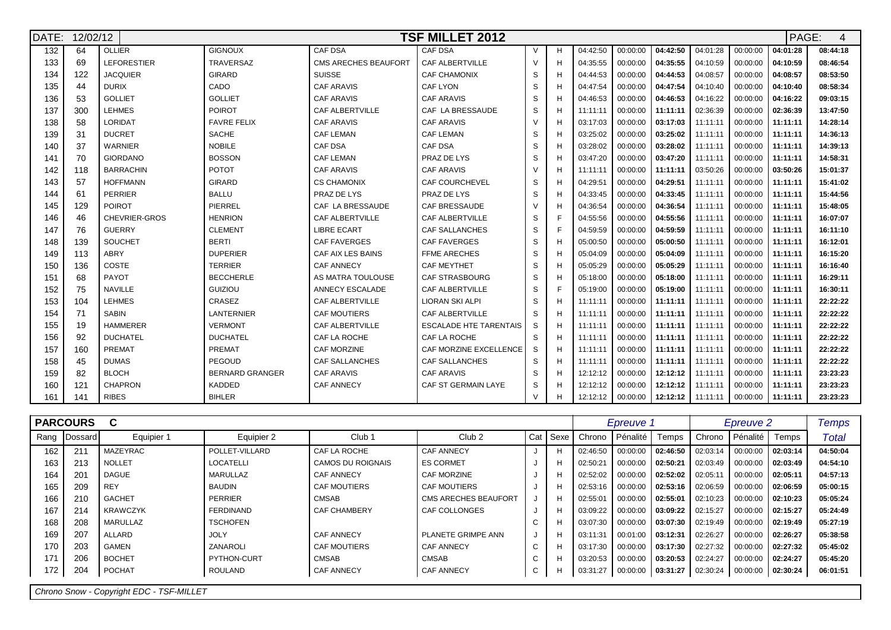| DATE: | 12/02/12 |                      | PAGE:<br><b>TSF MILLET 2012</b> |                             |                               |          |   |          |          |          |          |          |          |          |  |
|-------|----------|----------------------|---------------------------------|-----------------------------|-------------------------------|----------|---|----------|----------|----------|----------|----------|----------|----------|--|
| 132   | 64       | OLLIER               | <b>GIGNOUX</b>                  | CAF DSA                     | CAF DSA                       | $\vee$   |   | 04:42:50 | 00:00:00 | 04:42:50 | 04:01:28 | 00:00:00 | 04:01:28 | 08:44:18 |  |
| 133   | 69       | <b>LEFORESTIER</b>   | <b>TRAVERSAZ</b>                | <b>CMS ARECHES BEAUFORT</b> | <b>CAF ALBERTVILLE</b>        | $\vee$   |   | 04:35:55 | 00:00:00 | 04:35:55 | 04:10:59 | 00:00:00 | 04:10:59 | 08:46:54 |  |
| 134   | 122      | <b>JACQUIER</b>      | <b>GIRARD</b>                   | <b>SUISSE</b>               | <b>CAF CHAMONIX</b>           | S        |   | 04:44:53 | 00:00:00 | 04:44:53 | 04:08:57 | 00:00:00 | 04:08:57 | 08:53:50 |  |
| 135   | 44       | <b>DURIX</b>         | CADO                            | <b>CAF ARAVIS</b>           | <b>CAF LYON</b>               | S        |   | 04:47:54 | 00:00:00 | 04:47:54 | 04:10:40 | 00:00:00 | 04:10:40 | 08:58:34 |  |
| 136   | 53       | <b>GOLLIET</b>       | <b>GOLLIET</b>                  | <b>CAF ARAVIS</b>           | <b>CAF ARAVIS</b>             | <b>S</b> |   | 04:46:53 | 00:00:00 | 04:46:53 | 04:16:22 | 00:00:00 | 04:16:22 | 09:03:15 |  |
| 137   | 300      | <b>LEHMES</b>        | <b>POIROT</b>                   | <b>CAF ALBERTVILLE</b>      | CAF LA BRESSAUDE              | S        |   | 11:11:11 | 00:00:00 | 11:11:11 | 02:36:39 | 00:00:00 | 02:36:39 | 13:47:50 |  |
| 138   | 58       | LORIDAT              | <b>FAVRE FELIX</b>              | <b>CAF ARAVIS</b>           | <b>CAF ARAVIS</b>             | $\vee$   |   | 03:17:03 | 00:00:00 | 03:17:03 | 11:11:11 | 00:00:00 | 11:11:11 | 14:28:14 |  |
| 139   | 31       | <b>DUCRET</b>        | <b>SACHE</b>                    | <b>CAF LEMAN</b>            | <b>CAF LEMAN</b>              | S        |   | 03:25:02 | 00:00:00 | 03:25:02 | 11:11:11 | 00:00:00 | 11:11:11 | 14:36:13 |  |
| 140   | 37       | <b>WARNIER</b>       | <b>NOBILE</b>                   | <b>CAF DSA</b>              | <b>CAF DSA</b>                | S        |   | 03:28:02 | 00:00:00 | 03:28:02 | 11:11:11 | 00:00:00 | 11:11:11 | 14:39:13 |  |
| 141   | 70       | <b>GIORDANO</b>      | <b>BOSSON</b>                   | <b>CAF LEMAN</b>            | PRAZ DE LYS                   | S        |   | 03:47:20 | 00:00:00 | 03:47:20 | 11:11:11 | 00:00:00 | 11:11:11 | 14:58:31 |  |
| 142   | 118      | <b>BARRACHIN</b>     | <b>POTOT</b>                    | <b>CAF ARAVIS</b>           | <b>CAF ARAVIS</b>             | $\vee$   |   | 11:11:11 | 00:00:00 | 11:11:11 | 03:50:26 | 00:00:00 | 03:50:26 | 15:01:37 |  |
| 143   | 57       | <b>HOFFMANN</b>      | <b>GIRARD</b>                   | <b>CS CHAMONIX</b>          | <b>CAF COURCHEVEL</b>         | S        | н | 04:29:51 | 00:00:00 | 04:29:51 | 11:11:11 | 00:00:00 | 11:11:11 | 15:41:02 |  |
| 144   | 61       | <b>PERRIER</b>       | <b>BALLU</b>                    | PRAZ DE LYS                 | PRAZ DE LYS                   | S        |   | 04:33:45 | 00:00:00 | 04:33:45 | 11:11:11 | 00:00:00 | 11:11:11 | 15:44:56 |  |
| 145   | 129      | <b>POIROT</b>        | PIERREL                         | CAF LA BRESSAUDE            | CAF BRESSAUDE                 | $\vee$   |   | 04:36:54 | 00:00:00 | 04:36:54 | 11:11:11 | 00:00:00 | 11:11:11 | 15:48:05 |  |
| 146   | 46       | <b>CHEVRIER-GROS</b> | <b>HENRION</b>                  | <b>CAF ALBERTVILLE</b>      | <b>CAF ALBERTVILLE</b>        | S        |   | 04:55:56 | 00:00:00 | 04:55:56 | 11:11:11 | 00:00:00 | 11:11:11 | 16:07:07 |  |
| 147   | 76       | <b>GUERRY</b>        | <b>CLEMENT</b>                  | <b>LIBRE ECART</b>          | CAF SALLANCHES                | S        |   | 04:59:59 | 00:00:00 | 04:59:59 | 11:11:11 | 00:00:00 | 11:11:11 | 16:11:10 |  |
| 148   | 139      | SOUCHET              | <b>BERTI</b>                    | CAF FAVERGES                | <b>CAF FAVERGES</b>           | S        |   | 05:00:50 | 00:00:00 | 05:00:50 | 11:11:11 | 00:00:00 | 11:11:11 | 16:12:01 |  |
| 149   | 113      | ABRY                 | <b>DUPERIER</b>                 | CAF AIX LES BAINS           | <b>FFME ARECHES</b>           | S        |   | 05:04:09 | 00:00:00 | 05:04:09 | 11:11:11 | 00:00:00 | 11:11:11 | 16:15:20 |  |
| 150   | 136      | COSTE                | <b>TERRIER</b>                  | <b>CAF ANNECY</b>           | <b>CAF MEYTHET</b>            | S        |   | 05:05:29 | 00:00:00 | 05:05:29 | 11:11:11 | 00:00:00 | 11:11:11 | 16:16:40 |  |
| 151   | 68       | PAYOT                | <b>BECCHERLE</b>                | AS MATRA TOULOUSE           | <b>CAF STRASBOURG</b>         | S        |   | 05:18:00 | 00:00:00 | 05:18:00 | 11:11:11 | 00:00:00 | 11:11:11 | 16:29:11 |  |
| 152   | 75       | <b>NAVILLE</b>       | <b>GUIZIOU</b>                  | ANNECY ESCALADE             | <b>CAF ALBERTVILLE</b>        | S        |   | 05:19:00 | 00:00:00 | 05:19:00 | 11:11:11 | 00:00:00 | 11:11:11 | 16:30:11 |  |
| 153   | 104      | <b>LEHMES</b>        | CRASEZ                          | <b>CAF ALBERTVILLE</b>      | <b>LIORAN SKI ALPI</b>        | S        |   | 11:11:11 | 00:00:00 | 11:11:11 | 11:11:11 | 00:00:00 | 11:11:11 | 22:22:22 |  |
| 154   | 71       | <b>SABIN</b>         | <b>LANTERNIER</b>               | <b>CAF MOUTIERS</b>         | CAF ALBERTVILLE               | S        |   | 11:11:11 | 00:00:00 | 11:11:11 | 11:11:11 | 00:00:00 | 11:11:11 | 22:22:22 |  |
| 155   | 19       | <b>HAMMERER</b>      | <b>VERMONT</b>                  | <b>CAF ALBERTVILLE</b>      | <b>ESCALADE HTE TARENTAIS</b> | S        |   | 11:11:11 | 00:00:00 | 11:11:11 | 11:11:11 | 00:00:00 | 11:11:11 | 22:22:22 |  |
| 156   | 92       | <b>DUCHATEL</b>      | <b>DUCHATEL</b>                 | CAF LA ROCHE                | CAF LA ROCHE                  | S        |   | 11:11:11 | 00:00:00 | 11:11:11 | 11:11:11 | 00:00:00 | 11:11:11 | 22:22:22 |  |
| 157   | 160      | PREMAT               | PREMAT                          | <b>CAF MORZINE</b>          | CAF MORZINE EXCELLENCE        | S        |   | 11:11:11 | 00:00:00 | 11:11:11 | 11:11:11 | 00:00:00 | 11:11:11 | 22:22:22 |  |
| 158   | 45       | <b>DUMAS</b>         | PEGOUD                          | <b>CAF SALLANCHES</b>       | <b>CAF SALLANCHES</b>         | S        |   | 11:11:11 | 00:00:00 | 11:11:11 | 11:11:11 | 00:00:00 | 11:11:11 | 22:22:22 |  |
| 159   | 82       | <b>BLOCH</b>         | <b>BERNARD GRANGER</b>          | <b>CAF ARAVIS</b>           | <b>CAF ARAVIS</b>             | S        | н | 12:12:12 | 00:00:00 | 12:12:12 | 11:11:11 | 00:00:00 | 11:11:11 | 23:23:23 |  |
| 160   | 121      | <b>CHAPRON</b>       | <b>KADDED</b>                   | <b>CAF ANNECY</b>           | CAF ST GERMAIN LAYE           | S        |   | 12:12:12 | 00:00:00 | 12:12:12 | 11:11:11 | 00:00:00 | 11:11:11 | 23:23:23 |  |
| 161   | 141      | <b>RIBES</b>         | <b>BIHLER</b>                   |                             |                               | $\vee$   |   | 12:12:12 | 00:00:00 | 12:12:12 | 11:11:11 | 00:00:00 | 11:11:11 | 23:23:23 |  |

|      | <b>PARCOURS</b> | C               |                  |                     |                             |                               |              |          | <b>Epreuve</b> |                                   | Epreuve 2 | <b>Temps</b> |          |          |
|------|-----------------|-----------------|------------------|---------------------|-----------------------------|-------------------------------|--------------|----------|----------------|-----------------------------------|-----------|--------------|----------|----------|
| Rang | Dossard         | Equipier 1      | Equipier 2       | Club <sub>1</sub>   | Club <sub>2</sub>           | Cat                           | Sexe         | Chrono   | Pénalité       | Temps                             | Chrono    | Pénalité     | Temps    | Total    |
| 162  | 211             | <b>MAZEYRAC</b> | POLLET-VILLARD   | CAF LA ROCHE        | CAF ANNECY                  |                               |              | 02:46:50 | 00:00:00       | 02:46:50                          | 02:03:14  | 00:00:00     | 02:03:14 | 04:50:04 |
| 163  | 213             | <b>NOLLET</b>   | <b>LOCATELLI</b> | CAMOS DU ROIGNAIS   | <b>ES CORMET</b>            |                               | $\mathsf{H}$ | 02:50:21 | 00:00:00       | 02:50:21                          | 02:03:49  | 00:00:00     | 02:03:49 | 04:54:10 |
| 164  | 201             | DAGUE           | MARULLAZ         | CAF ANNECY          | <b>CAF MORZINE</b>          |                               | t.           | 02:52:02 | 00:00:00       | 02:52:02                          | 02:05:11  | 00:00:00     | 02:05:11 | 04:57:13 |
| 165  | 209             | <b>REY</b>      | <b>BAUDIN</b>    | <b>CAF MOUTIERS</b> | <b>CAF MOUTIERS</b>         |                               | $\mathsf{H}$ | 02:53:16 | 00:00:00       | $02:53:16$                        | 02:06:59  | 00:00:00     | 02:06:59 | 05:00:15 |
| 166  | 210             | <b>GACHET</b>   | <b>PERRIER</b>   | CMSAB               | <b>CMS ARECHES BEAUFORT</b> |                               | H            | 02:55:01 | 00:00:00       | 02:55:01                          | 02:10:23  | 00:00:00     | 02:10:23 | 05:05:24 |
| 167  | 214             | <b>KRAWCZYK</b> | <b>FERDINAND</b> | CAF CHAMBERY        | <b>CAF COLLONGES</b>        | J                             | $\mathsf{H}$ | 03:09:22 | 00:00:00       | 03:09:22                          | 02:15:27  | 00:00:00     | 02:15:27 | 05:24:49 |
| 168  | 208             | MARULLAZ        | <b>TSCHOFEN</b>  |                     |                             | $\overline{\phantom{0}}$<br>◡ |              | 03:07:30 | 00:00:00       | $\vert$ 03:07:30 $\vert$ 02:19:49 |           | 00:00:00     | 02:19:49 | 05:27:19 |
| 169  | 207             | ALLARD          | <b>JOLY</b>      | CAF ANNECY          | PLANETE GRIMPE ANN          | J                             | $\mathsf{H}$ | 03:11:31 | 00:01:00       | 03:12:31                          | 02:26:27  | 00:00:00     | 02:26:27 | 05:38:58 |
| 170  | 203             | GAMEN           | ZANAROLI         | <b>CAF MOUTIERS</b> | CAF ANNECY                  | $\sim$<br>◡                   | $\mathsf{H}$ | 03:17:30 | 00:00:00       | 03:17:30 l                        | 02:27:32  | 00:00:00     | 02:27:32 | 05:45:02 |
| 171  | 206             | <b>BOCHET</b>   | PYTHON-CURT      | CMSAB               | <b>CMSAB</b>                | $\sim$<br>◡                   |              | 03:20:53 | 00:00:00       | 03:20:53                          | 02:24:27  | 00:00:00     | 02:24:27 | 05:45:20 |
| 172  | 204             | <b>POCHAT</b>   | ROULAND          | <b>CAF ANNECY</b>   | <b>CAF ANNECY</b>           | $\sim$<br>◡                   | $\mathsf{H}$ | 03:31:27 | 00:00:00       | 03:31:27                          | 02:30:24  | 00:00:00     | 02:30:24 | 06:01:51 |
|      |                 |                 |                  |                     |                             |                               |              |          |                |                                   |           |              |          |          |

Chrono Snow - Copyright EDC - TSF-MILLET